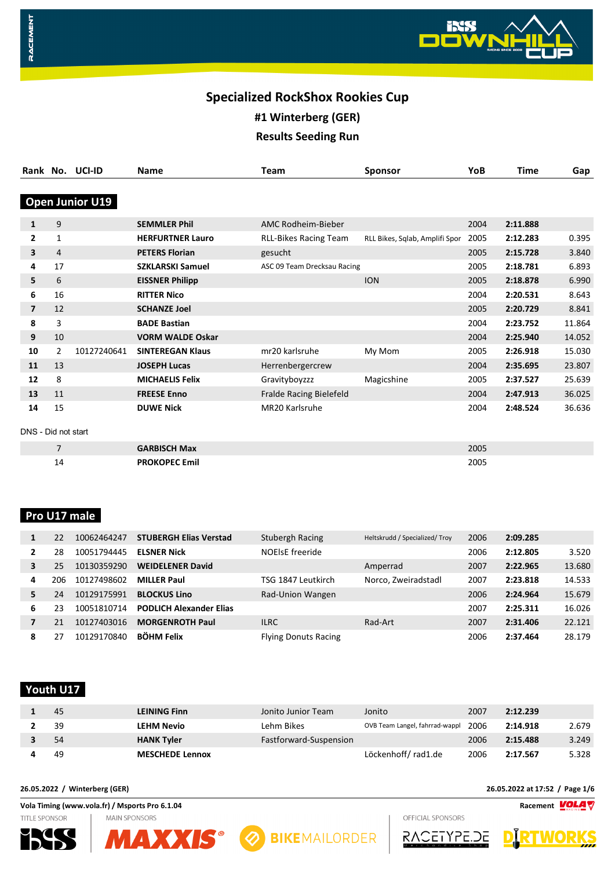## **Specialized RockShox Rookies Cup**

**#1 Winterberg (GER)**

**Results Seeding Run**

|                     |                | Rank No. UCI-ID        | <b>Name</b>             | <b>Team</b>                  | <b>Sponsor</b>                 | YoB  | <b>Time</b> | Gap    |
|---------------------|----------------|------------------------|-------------------------|------------------------------|--------------------------------|------|-------------|--------|
|                     |                |                        |                         |                              |                                |      |             |        |
|                     |                | <b>Open Junior U19</b> |                         |                              |                                |      |             |        |
| $\mathbf{1}$        | 9              |                        | <b>SEMMLER Phil</b>     | AMC Rodheim-Bieber           |                                | 2004 | 2:11.888    |        |
| $\overline{2}$      | 1              |                        | <b>HERFURTNER Lauro</b> | <b>RLL-Bikes Racing Team</b> | RLL Bikes, Sqlab, Amplifi Spor | 2005 | 2:12.283    | 0.395  |
| 3                   | $\overline{4}$ |                        | <b>PETERS Florian</b>   | gesucht                      |                                | 2005 | 2:15.728    | 3.840  |
| 4                   | 17             |                        | <b>SZKLARSKI Samuel</b> | ASC 09 Team Drecksau Racing  |                                | 2005 | 2:18.781    | 6.893  |
| 5                   | 6              |                        | <b>EISSNER Philipp</b>  |                              | <b>ION</b>                     | 2005 | 2:18.878    | 6.990  |
| 6                   | 16             |                        | <b>RITTER Nico</b>      |                              |                                | 2004 | 2:20.531    | 8.643  |
| $\overline{7}$      | 12             |                        | <b>SCHANZE Joel</b>     |                              |                                | 2005 | 2:20.729    | 8.841  |
| 8                   | 3              |                        | <b>BADE Bastian</b>     |                              |                                | 2004 | 2:23.752    | 11.864 |
| 9                   | 10             |                        | <b>VORM WALDE Oskar</b> |                              |                                | 2004 | 2:25.940    | 14.052 |
| 10                  | 2              | 10127240641            | <b>SINTEREGAN Klaus</b> | mr20 karlsruhe               | My Mom                         | 2005 | 2:26.918    | 15.030 |
| 11                  | 13             |                        | <b>JOSEPH Lucas</b>     | Herrenbergercrew             |                                | 2004 | 2:35.695    | 23.807 |
| 12                  | 8              |                        | <b>MICHAELIS Felix</b>  | Gravityboyzzz                | Magicshine                     | 2005 | 2:37.527    | 25.639 |
| 13                  | 11             |                        | <b>FREESE Enno</b>      | Fralde Racing Bielefeld      |                                | 2004 | 2:47.913    | 36.025 |
| 14                  | 15             |                        | <b>DUWE Nick</b>        | MR20 Karlsruhe               |                                | 2004 | 2:48.524    | 36.636 |
| DNS - Did not start |                |                        |                         |                              |                                |      |             |        |
|                     | $\overline{7}$ |                        | <b>GARBISCH Max</b>     |                              |                                | 2005 |             |        |
|                     | 14             |                        | <b>PROKOPEC Emil</b>    |                              |                                | 2005 |             |        |

## **Pro U17 male**

RACEMENT

|   | 22  | 10062464247 | <b>STUBERGH Elias Verstad</b>  | Stubergh Racing             | Heltskrudd / Specialized/Troy | 2006 | 2:09.285 |        |
|---|-----|-------------|--------------------------------|-----------------------------|-------------------------------|------|----------|--------|
|   | 28  | 10051794445 | <b>ELSNER Nick</b>             | NOELSE freeride             |                               | 2006 | 2:12.805 | 3.520  |
| з | 25  | 10130359290 | <b>WEIDELENER David</b>        |                             | Amperrad                      | 2007 | 2:22.965 | 13.680 |
| 4 | 206 | 10127498602 | <b>MILLER Paul</b>             | TSG 1847 Leutkirch          | Norco, Zweiradstadl           | 2007 | 2:23.818 | 14.533 |
|   | 24  | 10129175991 | <b>BLOCKUS Lino</b>            | Rad-Union Wangen            |                               | 2006 | 2:24.964 | 15.679 |
| 6 | 23  | 10051810714 | <b>PODLICH Alexander Elias</b> |                             |                               | 2007 | 2:25.311 | 16.026 |
|   | 21  | 10127403016 | <b>MORGENROTH Paul</b>         | <b>ILRC</b>                 | Rad-Art                       | 2007 | 2:31.406 | 22.121 |
| 8 | 27  | 10129170840 | <b>BÖHM Felix</b>              | <b>Flying Donuts Racing</b> |                               | 2006 | 2:37.464 | 28.179 |

### **Youth U17**

| 45 | LEINING Finn           | Jonito Junior Team     | Jonito                              | 2007 | 2:12.239 |       |
|----|------------------------|------------------------|-------------------------------------|------|----------|-------|
| 39 | <b>LEHM Nevio</b>      | Lehm Bikes             | OVB Team Langel, fahrrad-wappl 2006 |      | 2:14.918 | 2.679 |
| 54 | <b>HANK Tyler</b>      | Fastforward-Suspension |                                     | 2006 | 2:15.488 | 3.249 |
| 49 | <b>MESCHEDE Lennox</b> |                        | Löckenhoff/rad1.de                  | 2006 | 2:17.567 | 5.328 |

#### **26.05.2022 / Winterberg (GER) 26.05.2022 at 17:52 / Page 1/6**

**Vola Timing (www.vola.fr) / Msports Pro 6.1.04 Racement**  $\frac{VOLAV}{N}$ TITLE SPONSOR **MAIN SPONSORS** 









OFFICIAL SPONSORS

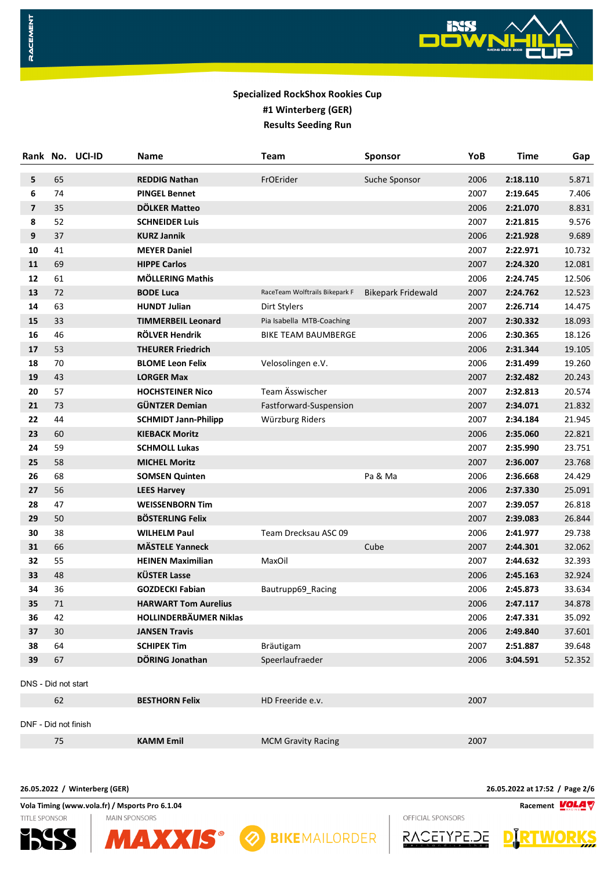

| Rank No.                |    | UCI-ID | <b>Name</b>                   | Team                           | Sponsor                   | YoB  | <b>Time</b> | Gap    |
|-------------------------|----|--------|-------------------------------|--------------------------------|---------------------------|------|-------------|--------|
| 5                       | 65 |        | <b>REDDIG Nathan</b>          | FrOErider                      | Suche Sponsor             | 2006 | 2:18.110    | 5.871  |
| 6                       | 74 |        | <b>PINGEL Bennet</b>          |                                |                           | 2007 | 2:19.645    | 7.406  |
| $\overline{\mathbf{z}}$ | 35 |        | DÖLKER Matteo                 |                                |                           | 2006 | 2:21.070    | 8.831  |
| 8                       | 52 |        | <b>SCHNEIDER Luis</b>         |                                |                           | 2007 | 2:21.815    | 9.576  |
| 9                       | 37 |        | <b>KURZ Jannik</b>            |                                |                           | 2006 | 2:21.928    | 9.689  |
| 10                      | 41 |        | <b>MEYER Daniel</b>           |                                |                           | 2007 | 2:22.971    | 10.732 |
| 11                      | 69 |        | <b>HIPPE Carlos</b>           |                                |                           | 2007 | 2:24.320    | 12.081 |
| 12                      | 61 |        | <b>MÖLLERING Mathis</b>       |                                |                           | 2006 | 2:24.745    | 12.506 |
| 13                      | 72 |        | <b>BODE Luca</b>              | RaceTeam Wolftrails Bikepark F | <b>Bikepark Fridewald</b> | 2007 | 2:24.762    | 12.523 |
| 14                      | 63 |        | <b>HUNDT Julian</b>           | Dirt Stylers                   |                           | 2007 | 2:26.714    | 14.475 |
| 15                      | 33 |        | <b>TIMMERBEIL Leonard</b>     | Pia Isabella MTB-Coaching      |                           | 2007 | 2:30.332    | 18.093 |
| 16                      | 46 |        | RÖLVER Hendrik                | <b>BIKE TEAM BAUMBERGE</b>     |                           | 2006 | 2:30.365    | 18.126 |
| 17                      | 53 |        | <b>THEURER Friedrich</b>      |                                |                           | 2006 | 2:31.344    | 19.105 |
| 18                      | 70 |        | <b>BLOME Leon Felix</b>       | Velosolingen e.V.              |                           | 2006 | 2:31.499    | 19.260 |
| 19                      | 43 |        | <b>LORGER Max</b>             |                                |                           | 2007 | 2:32.482    | 20.243 |
| 20                      | 57 |        | <b>HOCHSTEINER Nico</b>       | Team Ässwischer                |                           | 2007 | 2:32.813    | 20.574 |
| 21                      | 73 |        | <b>GÜNTZER Demian</b>         | Fastforward-Suspension         |                           | 2007 | 2:34.071    | 21.832 |
| 22                      | 44 |        | <b>SCHMIDT Jann-Philipp</b>   | Würzburg Riders                |                           | 2007 | 2:34.184    | 21.945 |
| 23                      | 60 |        | <b>KIEBACK Moritz</b>         |                                |                           | 2006 | 2:35.060    | 22.821 |
| 24                      | 59 |        | <b>SCHMOLL Lukas</b>          |                                |                           | 2007 | 2:35.990    | 23.751 |
| 25                      | 58 |        | <b>MICHEL Moritz</b>          |                                |                           | 2007 | 2:36.007    | 23.768 |
| 26                      | 68 |        | <b>SOMSEN Quinten</b>         |                                | Pa & Ma                   | 2006 | 2:36.668    | 24.429 |
| 27                      | 56 |        | <b>LEES Harvey</b>            |                                |                           | 2006 | 2:37.330    | 25.091 |
| 28                      | 47 |        | <b>WEISSENBORN Tim</b>        |                                |                           | 2007 | 2:39.057    | 26.818 |
| 29                      | 50 |        | <b>BÖSTERLING Felix</b>       |                                |                           | 2007 | 2:39.083    | 26.844 |
| 30                      | 38 |        | <b>WILHELM Paul</b>           | Team Drecksau ASC 09           |                           | 2006 | 2:41.977    | 29.738 |
| 31                      | 66 |        | <b>MÄSTELE Yanneck</b>        |                                | Cube                      | 2007 | 2:44.301    | 32.062 |
| 32                      | 55 |        | <b>HEINEN Maximilian</b>      | MaxOil                         |                           | 2007 | 2:44.632    | 32.393 |
| 33                      | 48 |        | <b>KÜSTER Lasse</b>           |                                |                           | 2006 | 2:45.163    | 32.924 |
| 34                      | 36 |        | <b>GOZDECKI Fabian</b>        | Bautrupp69_Racing              |                           | 2006 | 2:45.873    | 33.634 |
| 35                      | 71 |        | <b>HARWART Tom Aurelius</b>   |                                |                           | 2006 | 2:47.117    | 34.878 |
| 36                      | 42 |        | <b>HOLLINDERBÄUMER Niklas</b> |                                |                           | 2006 | 2:47.331    | 35.092 |
| 37                      | 30 |        | <b>JANSEN Travis</b>          |                                |                           | 2006 | 2:49.840    | 37.601 |
| 38                      | 64 |        | <b>SCHIPEK Tim</b>            | Bräutigam                      |                           | 2007 | 2:51.887    | 39.648 |
| 39                      | 67 |        | DÖRING Jonathan               | Speerlaufraeder                |                           | 2006 | 3:04.591    | 52.352 |
| DNS - Did not start     |    |        |                               |                                |                           |      |             |        |
|                         | 62 |        | <b>BESTHORN Felix</b>         | HD Freeride e.v.               |                           | 2007 |             |        |
| DNF - Did not finish    |    |        |                               |                                |                           |      |             |        |
|                         | 75 |        | <b>KAMM Emil</b>              | <b>MCM Gravity Racing</b>      |                           | 2007 |             |        |
|                         |    |        |                               |                                |                           |      |             |        |
|                         |    |        |                               |                                |                           |      |             |        |

**26.05.2022 / Winterberg (GER) 26.05.2022 at 17:52 / Page 2/6**

**Vola Timing (www.vola.fr) / Msports Pro 6.1.04 Racement**

БЪ

TITLE SPONSOR

RACEMENT



**MAIN SPONSORS** 

**BIKEMAILORDER** 



OFFICIAL SPONSORS

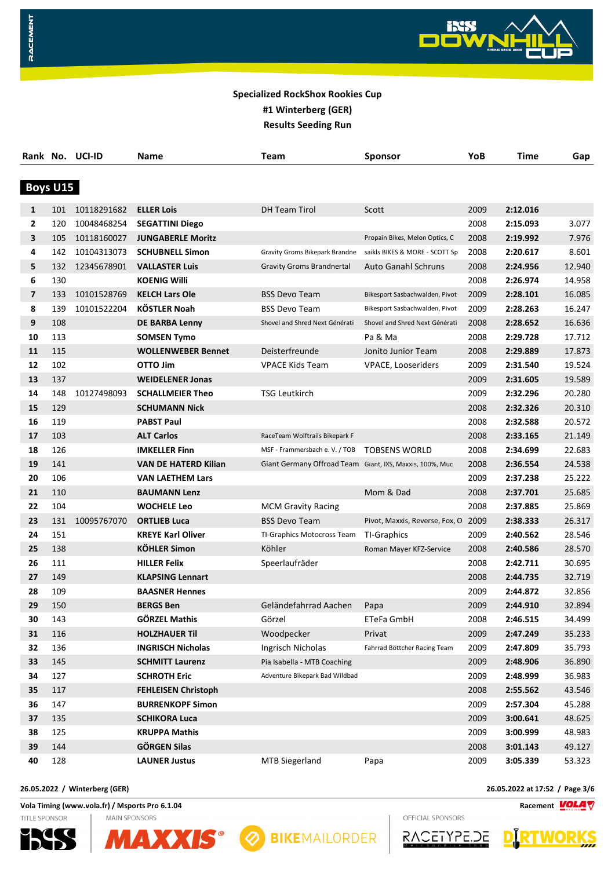|    |                 | Rank No. UCI-ID | Name                        | Team                                                     | <b>Sponsor</b>                      | YoB  | Time     | Gap    |
|----|-----------------|-----------------|-----------------------------|----------------------------------------------------------|-------------------------------------|------|----------|--------|
|    | <b>Boys U15</b> |                 |                             |                                                          |                                     |      |          |        |
|    |                 |                 |                             |                                                          |                                     |      |          |        |
| 1  | 101             | 10118291682     | <b>ELLER Lois</b>           | <b>DH Team Tirol</b>                                     | Scott                               | 2009 | 2:12.016 |        |
| 2  | 120             | 10048468254     | <b>SEGATTINI Diego</b>      |                                                          |                                     | 2008 | 2:15.093 | 3.077  |
| 3  | 105             | 10118160027     | <b>JUNGABERLE Moritz</b>    |                                                          | Propain Bikes, Melon Optics, C      | 2008 | 2:19.992 | 7.976  |
| 4  | 142             | 10104313073     | <b>SCHUBNELL Simon</b>      | Gravity Groms Bikepark Brandne                           | saikls BIKES & MORE - SCOTT Sp      | 2008 | 2:20.617 | 8.601  |
| 5  | 132             | 12345678901     | <b>VALLASTER Luis</b>       | <b>Gravity Groms Brandnertal</b>                         | <b>Auto Ganahl Schruns</b>          | 2008 | 2:24.956 | 12.940 |
| 6  | 130             |                 | <b>KOENIG Willi</b>         |                                                          |                                     | 2008 | 2:26.974 | 14.958 |
| 7  | 133             | 10101528769     | <b>KELCH Lars Ole</b>       | <b>BSS Devo Team</b>                                     | Bikesport Sasbachwalden, Pivot      | 2009 | 2:28.101 | 16.085 |
| 8  | 139             | 10101522204     | <b>KÖSTLER Noah</b>         | <b>BSS Devo Team</b>                                     | Bikesport Sasbachwalden, Pivot      | 2009 | 2:28.263 | 16.247 |
| 9  | 108             |                 | <b>DE BARBA Lenny</b>       | Shovel and Shred Next Générati                           | Shovel and Shred Next Générati      | 2008 | 2:28.652 | 16.636 |
| 10 | 113             |                 | <b>SOMSEN Tymo</b>          |                                                          | Pa & Ma                             | 2008 | 2:29.728 | 17.712 |
| 11 | 115             |                 | <b>WOLLENWEBER Bennet</b>   | Deisterfreunde                                           | Jonito Junior Team                  | 2008 | 2:29.889 | 17.873 |
| 12 | 102             |                 | OTTO Jim                    | <b>VPACE Kids Team</b>                                   | VPACE, Looseriders                  | 2009 | 2:31.540 | 19.524 |
| 13 | 137             |                 | <b>WEIDELENER Jonas</b>     |                                                          |                                     | 2009 | 2:31.605 | 19.589 |
| 14 | 148             | 10127498093     | <b>SCHALLMEIER Theo</b>     | <b>TSG Leutkirch</b>                                     |                                     | 2009 | 2:32.296 | 20.280 |
| 15 | 129             |                 | <b>SCHUMANN Nick</b>        |                                                          |                                     | 2008 | 2:32.326 | 20.310 |
| 16 | 119             |                 | <b>PABST Paul</b>           |                                                          |                                     | 2008 | 2:32.588 | 20.572 |
| 17 | 103             |                 | <b>ALT Carlos</b>           | RaceTeam Wolftrails Bikepark F                           |                                     | 2008 | 2:33.165 | 21.149 |
| 18 | 126             |                 | <b>IMKELLER Finn</b>        | MSF - Frammersbach e.V. / TOB                            | <b>TOBSENS WORLD</b>                | 2008 | 2:34.699 | 22.683 |
| 19 | 141             |                 | <b>VAN DE HATERD Kilian</b> | Giant Germany Offroad Team Giant, IXS, Maxxis, 100%, Muc |                                     | 2008 | 2:36.554 | 24.538 |
| 20 | 106             |                 | <b>VAN LAETHEM Lars</b>     |                                                          |                                     | 2009 | 2:37.238 | 25.222 |
| 21 | 110             |                 | <b>BAUMANN Lenz</b>         |                                                          | Mom & Dad                           | 2008 | 2:37.701 | 25.685 |
| 22 | 104             |                 | <b>WOCHELE Leo</b>          | <b>MCM Gravity Racing</b>                                |                                     | 2008 | 2:37.885 | 25.869 |
| 23 | 131             | 10095767070     | <b>ORTLIEB Luca</b>         | <b>BSS Devo Team</b>                                     | Pivot, Maxxis, Reverse, Fox, O 2009 |      | 2:38.333 | 26.317 |
| 24 | 151             |                 | <b>KREYE Karl Oliver</b>    | TI-Graphics Motocross Team                               | TI-Graphics                         | 2009 | 2:40.562 | 28.546 |
| 25 | 138             |                 | <b>KÖHLER Simon</b>         | Köhler                                                   | Roman Mayer KFZ-Service             | 2008 | 2:40.586 | 28.570 |
| 26 | 111             |                 | <b>HILLER Felix</b>         | Speerlaufräder                                           |                                     | 2008 | 2:42.711 | 30.695 |
| 27 | 149             |                 | <b>KLAPSING Lennart</b>     |                                                          |                                     | 2008 | 2:44.735 | 32.719 |
| 28 | 109             |                 | <b>BAASNER Hennes</b>       |                                                          |                                     | 2009 | 2:44.872 | 32.856 |
| 29 | 150             |                 | <b>BERGS Ben</b>            | Geländefahrrad Aachen                                    | Papa                                | 2009 | 2:44.910 | 32.894 |
| 30 | 143             |                 | <b>GÖRZEL Mathis</b>        | Görzel                                                   | ETeFa GmbH                          | 2008 | 2:46.515 | 34.499 |
| 31 | 116             |                 | <b>HOLZHAUER Til</b>        | Woodpecker                                               | Privat                              | 2009 | 2:47.249 | 35.233 |
| 32 | 136             |                 | <b>INGRISCH Nicholas</b>    | Ingrisch Nicholas                                        | Fahrrad Böttcher Racing Team        | 2009 | 2:47.809 | 35.793 |
| 33 | 145             |                 | <b>SCHMITT Laurenz</b>      | Pia Isabella - MTB Coaching                              |                                     | 2009 | 2:48.906 | 36.890 |
| 34 | 127             |                 | <b>SCHROTH Eric</b>         | Adventure Bikepark Bad Wildbad                           |                                     | 2009 | 2:48.999 | 36.983 |
| 35 | 117             |                 | <b>FEHLEISEN Christoph</b>  |                                                          |                                     | 2008 | 2:55.562 | 43.546 |
| 36 | 147             |                 | <b>BURRENKOPF Simon</b>     |                                                          |                                     | 2009 | 2:57.304 | 45.288 |
| 37 | 135             |                 | <b>SCHIKORA Luca</b>        |                                                          |                                     | 2009 | 3:00.641 | 48.625 |
| 38 | 125             |                 | <b>KRUPPA Mathis</b>        |                                                          |                                     | 2009 | 3:00.999 | 48.983 |
| 39 | 144             |                 | <b>GÖRGEN Silas</b>         |                                                          |                                     | 2008 | 3:01.143 | 49.127 |
| 40 | 128             |                 | <b>LAUNER Justus</b>        | MTB Siegerland                                           | Papa                                | 2009 | 3:05.339 | 53.323 |
|    |                 |                 |                             |                                                          |                                     |      |          |        |

**26.05.2022 / Winterberg (GER) 26.05.2022 at 17:52 / Page 3/6**

**Vola Timing (www.vola.fr) / Msports Pro 6.1.04 Racement**

**MAIN SPONSORS** 



RACEMENT









OFFICIAL SPONSORS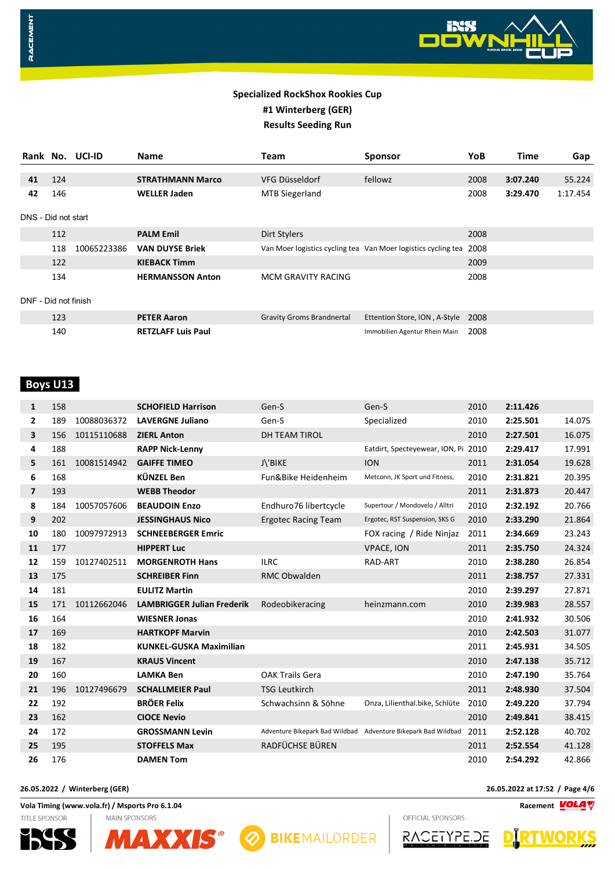

|                      |     | Rank No. UCI-ID | <b>Name</b>               | <b>Team</b>                      | <b>Sponsor</b>                                                     | YoB  | <b>Time</b> | Gap      |
|----------------------|-----|-----------------|---------------------------|----------------------------------|--------------------------------------------------------------------|------|-------------|----------|
|                      |     |                 |                           |                                  |                                                                    |      |             |          |
| 41                   | 124 |                 | <b>STRATHMANN Marco</b>   | VFG Düsseldorf                   | fellowz                                                            | 2008 | 3:07.240    | 55.224   |
| 42                   | 146 |                 | <b>WELLER Jaden</b>       | <b>MTB Siegerland</b>            |                                                                    | 2008 | 3:29.470    | 1:17.454 |
| DNS - Did not start  |     |                 |                           |                                  |                                                                    |      |             |          |
|                      | 112 |                 | <b>PALM Emil</b>          | Dirt Stylers                     |                                                                    | 2008 |             |          |
|                      | 118 | 10065223386     | <b>VAN DUYSE Briek</b>    |                                  | Van Moer logistics cycling tea Van Moer logistics cycling tea 2008 |      |             |          |
|                      | 122 |                 | <b>KIEBACK Timm</b>       |                                  |                                                                    | 2009 |             |          |
|                      | 134 |                 | <b>HERMANSSON Anton</b>   | MCM GRAVITY RACING               |                                                                    | 2008 |             |          |
| DNF - Did not finish |     |                 |                           |                                  |                                                                    |      |             |          |
|                      | 123 |                 | <b>PETER Aaron</b>        | <b>Gravity Groms Brandnertal</b> | Ettention Store, ION, A-Style 2008                                 |      |             |          |
|                      | 140 |                 | <b>RETZLAFF Luis Paul</b> |                                  | Immobilien Agentur Rhein Main                                      | 2008 |             |          |

# **Boys U13**

RACEMENT

| 1              | 158 |             | <b>SCHOFIELD Harrison</b>         | Gen-S                      | Gen-S                                                         | 2010 | 2:11.426 |        |
|----------------|-----|-------------|-----------------------------------|----------------------------|---------------------------------------------------------------|------|----------|--------|
| $\mathbf{2}$   | 189 | 10088036372 | <b>LAVERGNE Juliano</b>           | Gen-S                      | Specialized                                                   | 2010 | 2:25.501 | 14.075 |
| 3              | 156 | 10115110688 | <b>ZIERL Anton</b>                | DH TEAM TIROL              |                                                               | 2010 | 2:27.501 | 16.075 |
| 4              | 188 |             | <b>RAPP Nick-Lenny</b>            |                            | Eatdirt, Specteyewear, ION, Pi 2010                           |      | 2:29.417 | 17.991 |
| 5              | 161 | 10081514942 | <b>GAIFFE TIMEO</b>               | J\'BIKE                    | <b>ION</b>                                                    | 2011 | 2:31.054 | 19.628 |
| 6              | 168 |             | <b>KÜNZEL Ben</b>                 | Fun&Bike Heidenheim        | Metconn, JK Sport und Fitness,                                | 2010 | 2:31.821 | 20.395 |
| $\overline{7}$ | 193 |             | <b>WEBB Theodor</b>               |                            |                                                               | 2011 | 2:31.873 | 20.447 |
| 8              | 184 | 10057057606 | <b>BEAUDOIN Enzo</b>              | Endhuro76 libertcycle      | Supertour / Mondovelo / Alltri                                | 2010 | 2:32.192 | 20.766 |
| 9              | 202 |             | <b>JESSINGHAUS Nico</b>           | <b>Ergotec Racing Team</b> | Ergotec, RST Suspension, SKS G                                | 2010 | 2:33.290 | 21.864 |
| 10             | 180 | 10097972913 | <b>SCHNEEBERGER Emric</b>         |                            | FOX racing / Ride Ninjaz                                      | 2011 | 2:34.669 | 23.243 |
| 11             | 177 |             | <b>HIPPERT Luc</b>                |                            | <b>VPACE, ION</b>                                             | 2011 | 2:35.750 | 24.324 |
| 12             | 159 | 10127402511 | <b>MORGENROTH Hans</b>            | <b>ILRC</b>                | RAD-ART                                                       | 2010 | 2:38.280 | 26.854 |
| 13             | 175 |             | <b>SCHREIBER Finn</b>             | RMC Obwalden               |                                                               | 2011 | 2:38.757 | 27.331 |
| 14             | 181 |             | <b>EULITZ Martin</b>              |                            |                                                               | 2010 | 2:39.297 | 27.871 |
| 15             | 171 | 10112662046 | <b>LAMBRIGGER Julian Frederik</b> | Rodeobikeracing            | heinzmann.com                                                 | 2010 | 2:39.983 | 28.557 |
| 16             | 164 |             | <b>WIESNER Jonas</b>              |                            |                                                               | 2010 | 2:41.932 | 30.506 |
| 17             | 169 |             | <b>HARTKOPF Marvin</b>            |                            |                                                               | 2010 | 2:42.503 | 31.077 |
| 18             | 182 |             | <b>KUNKEL-GUSKA Maximilian</b>    |                            |                                                               | 2011 | 2:45.931 | 34.505 |
| 19             | 167 |             | <b>KRAUS Vincent</b>              |                            |                                                               | 2010 | 2:47.138 | 35.712 |
| 20             | 160 |             | <b>LAMKA Ben</b>                  | <b>OAK Trails Gera</b>     |                                                               | 2010 | 2:47.190 | 35.764 |
| 21             | 196 | 10127496679 | <b>SCHALLMEIER Paul</b>           | <b>TSG Leutkirch</b>       |                                                               | 2011 | 2:48.930 | 37.504 |
| 22             | 192 |             | <b>BRÖER Felix</b>                | Schwachsinn & Söhne        | Onza, Lilienthal.bike, Schlüte                                | 2010 | 2:49.220 | 37.794 |
| 23             | 162 |             | <b>CIOCE Nevio</b>                |                            |                                                               | 2010 | 2:49.841 | 38.415 |
| 24             | 172 |             | <b>GROSSMANN Levin</b>            |                            | Adventure Bikepark Bad Wildbad Adventure Bikepark Bad Wildbad | 2011 | 2:52.128 | 40.702 |
| 25             | 195 |             | <b>STOFFELS Max</b>               | RADFÜCHSE BÜREN            |                                                               | 2011 | 2:52.554 | 41.128 |
| 26             | 176 |             | <b>DAMEN Tom</b>                  |                            |                                                               | 2010 | 2:54.292 | 42.866 |

**26.05.2022 / Winterberg (GER) 26.05.2022 at 17:52 / Page 4/6**

**Vola Timing (www.vola.fr) / Msports Pro 6.1.04 Racement**

**MAIN SPONSORS** 

**TITLE SPONSOR** 









OFFICIAL SPONSORS

**TWORKS**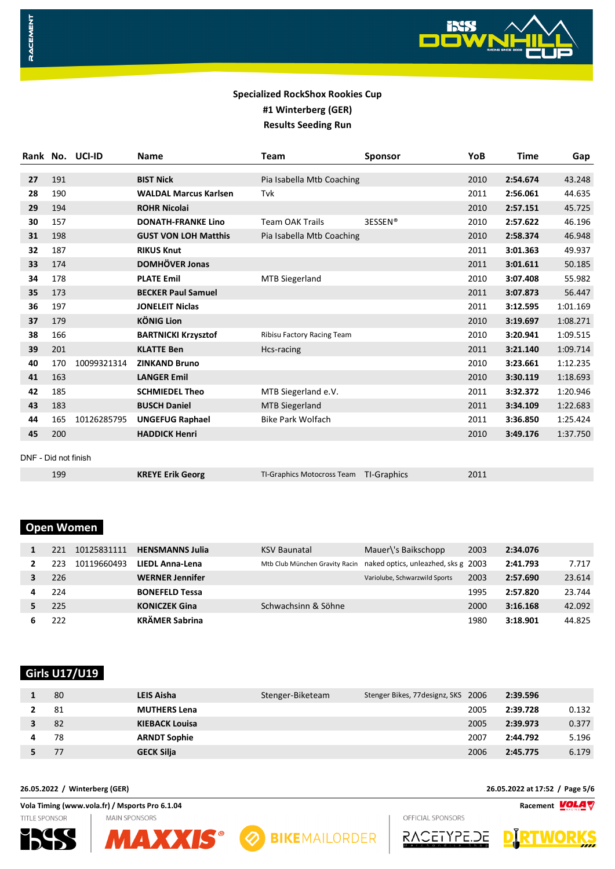

|                      |     | Rank No. UCI-ID | Name                         | <b>Team</b>                | <b>Sponsor</b>      | YoB  | <b>Time</b> | Gap      |
|----------------------|-----|-----------------|------------------------------|----------------------------|---------------------|------|-------------|----------|
|                      |     |                 |                              |                            |                     |      |             |          |
| 27                   | 191 |                 | <b>BIST Nick</b>             | Pia Isabella Mtb Coaching  |                     | 2010 | 2:54.674    | 43.248   |
| 28                   | 190 |                 | <b>WALDAL Marcus Karlsen</b> | Tvk                        |                     | 2011 | 2:56.061    | 44.635   |
| 29                   | 194 |                 | <b>ROHR Nicolai</b>          |                            |                     | 2010 | 2:57.151    | 45.725   |
| 30                   | 157 |                 | <b>DONATH-FRANKE Lino</b>    | <b>Team OAK Trails</b>     | 3ESSEN <sup>®</sup> | 2010 | 2:57.622    | 46.196   |
| 31                   | 198 |                 | <b>GUST VON LOH Matthis</b>  | Pia Isabella Mtb Coaching  |                     | 2010 | 2:58.374    | 46.948   |
| 32                   | 187 |                 | <b>RIKUS Knut</b>            |                            |                     | 2011 | 3:01.363    | 49.937   |
| 33                   | 174 |                 | <b>DOMHÖVER Jonas</b>        |                            |                     | 2011 | 3:01.611    | 50.185   |
| 34                   | 178 |                 | <b>PLATE Emil</b>            | <b>MTB Siegerland</b>      |                     | 2010 | 3:07.408    | 55.982   |
| 35                   | 173 |                 | <b>BECKER Paul Samuel</b>    |                            |                     | 2011 | 3:07.873    | 56.447   |
| 36                   | 197 |                 | <b>JONELEIT Niclas</b>       |                            |                     | 2011 | 3:12.595    | 1:01.169 |
| 37                   | 179 |                 | <b>KÖNIG Lion</b>            |                            |                     | 2010 | 3:19.697    | 1:08.271 |
| 38                   | 166 |                 | <b>BARTNICKI Krzysztof</b>   | Ribisu Factory Racing Team |                     | 2010 | 3:20.941    | 1:09.515 |
| 39                   | 201 |                 | <b>KLATTE Ben</b>            | Hcs-racing                 |                     | 2011 | 3:21.140    | 1:09.714 |
| 40                   | 170 | 10099321314     | <b>ZINKAND Bruno</b>         |                            |                     | 2010 | 3:23.661    | 1:12.235 |
| 41                   | 163 |                 | <b>LANGER Emil</b>           |                            |                     | 2010 | 3:30.119    | 1:18.693 |
| 42                   | 185 |                 | <b>SCHMIEDEL Theo</b>        | MTB Siegerland e.V.        |                     | 2011 | 3:32.372    | 1:20.946 |
| 43                   | 183 |                 | <b>BUSCH Daniel</b>          | <b>MTB Siegerland</b>      |                     | 2011 | 3:34.109    | 1:22.683 |
| 44                   | 165 | 10126285795     | <b>UNGEFUG Raphael</b>       | <b>Bike Park Wolfach</b>   |                     | 2011 | 3:36.850    | 1:25.424 |
| 45                   | 200 |                 | <b>HADDICK Henri</b>         |                            |                     | 2010 | 3:49.176    | 1:37.750 |
|                      |     |                 |                              |                            |                     |      |             |          |
| DNF - Did not finish |     |                 |                              |                            |                     |      |             |          |
|                      | 199 |                 | <b>KREYE Erik Georg</b>      | TI-Graphics Motocross Team | <b>TI-Graphics</b>  | 2011 |             |          |

### **Open Women**

RACEMENT

| 221 | 10125831111 | <b>HENSMANNS Julia</b> | <b>KSV Baunatal</b>            | Mauer\'s Baikschopp                 | 2003 | 2:34.076 |        |
|-----|-------------|------------------------|--------------------------------|-------------------------------------|------|----------|--------|
| ววว | 10119660493 | LIEDL Anna-Lena        | Mtb Club München Gravity Racin | naked optics, unleazhed, sks g 2003 |      | 2:41.793 | 7.717  |
| 226 |             | <b>WERNER Jennifer</b> |                                | Variolube, Schwarzwild Sports       | 2003 | 2:57.690 | 23.614 |
| 224 |             | <b>BONEFELD Tessa</b>  |                                |                                     | 1995 | 2:57.820 | 23.744 |
| 225 |             | <b>KONICZEK Gina</b>   | Schwachsinn & Söhne            |                                     | 2000 | 3:16.168 | 42.092 |
| 222 |             | <b>KRÄMER Sabrina</b>  |                                |                                     | 1980 | 3:18.901 | 44.825 |

### **Girls U17/U19**

| 80   | LEIS Aisha            | Stenger-Biketeam | Stenger Bikes, 77 designz, SKS 2006 |      | 2:39.596 |       |
|------|-----------------------|------------------|-------------------------------------|------|----------|-------|
| -81  | <b>MUTHERS Lena</b>   |                  |                                     | 2005 | 2:39.728 | 0.132 |
| -82  | <b>KIEBACK Louisa</b> |                  |                                     | 2005 | 2:39.973 | 0.377 |
| -78  | <b>ARNDT Sophie</b>   |                  |                                     | 2007 | 2:44.792 | 5.196 |
| - 77 | <b>GECK Silja</b>     |                  |                                     | 2006 | 2:45.775 | 6.179 |

**MAIN SPONSORS** 

**26.05.2022 / Winterberg (GER) 26.05.2022 at 17:52 / Page 5/6**

**Vola Timing (www.vola.fr) / Msports Pro 6.1.04 Racement VOLA With a strategies of the Strategies Pro 8.1.04 Racement VOLA With a strategies of the Strategies Pro 8.1.04** 

OFFICIAL SPONSORS



TITLE SPONSOR